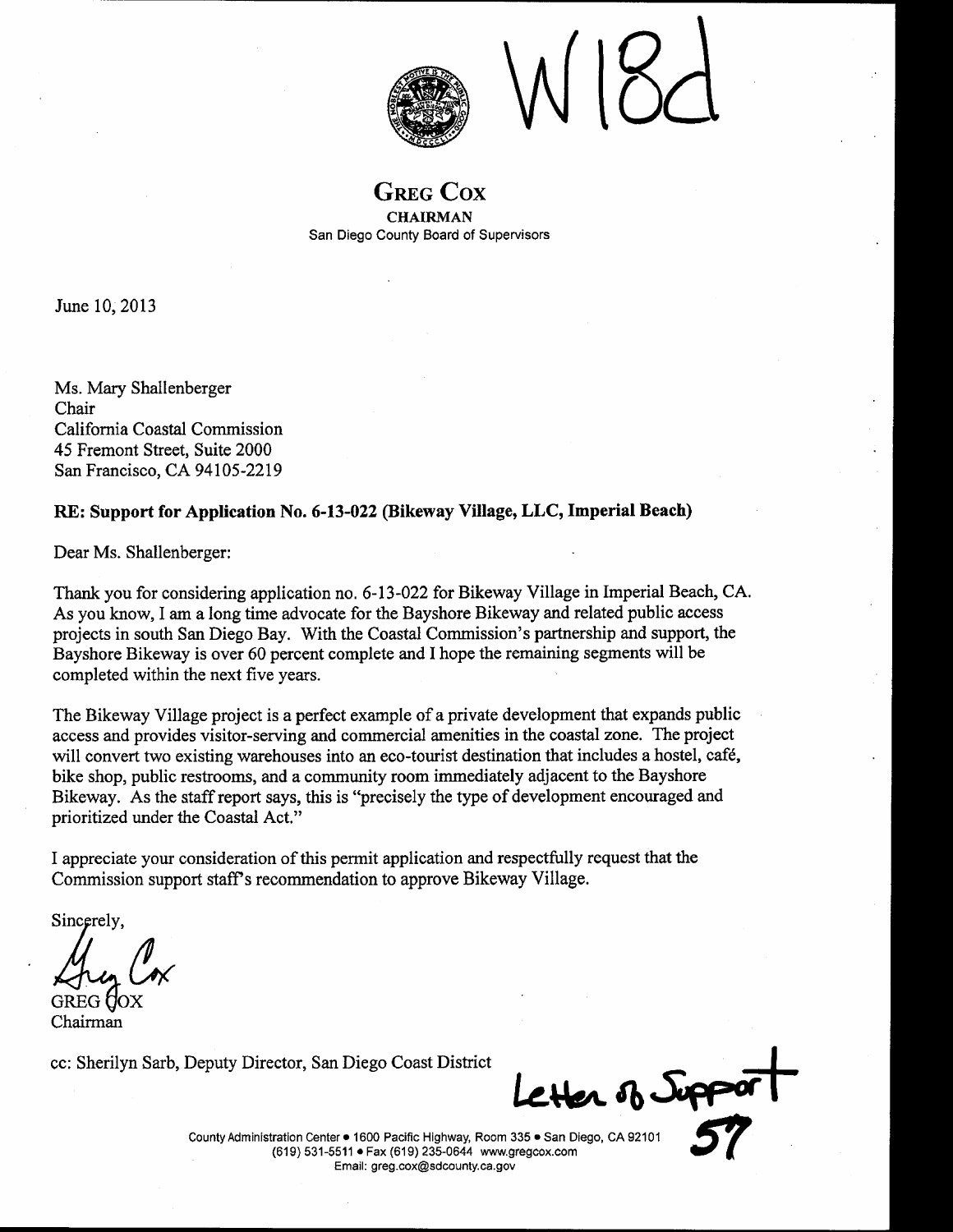

**GREG COX CHAIRMAN** San Diego County Board of Supervisors

June 10, 2013

Ms. Mary Shallenberger Chair California Coastal Commission 45 Fremont Street, Suite 2000 San Francisco, CA 94105-2219

#### RE: Support for Application No. 6-13-022 (Bikeway Village, LLC, Imperial Beach)

Dear Ms. Shallenberger:

Thank you for considering application no. 6-13-022 for Bikeway Village in Imperial Beach, CA. As you know, I am a long time advocate for the Bayshore Bikeway and related public access projects in south San Diego Bay. With the Coastal Commission's partnership and support, the Bayshore Bikeway is over 60 percent complete and I hope the remaining segments will be completed within the next five years.

The Bikeway Village project is a perfect example of a private development that expands public access and provides visitor-serving and commercial amenities in the coastal zone. The project will convert two existing warehouses into an eco-tourist destination that includes a hostel, café, bike shop, public restrooms, and a community room immediately adjacent to the Bayshore Bikeway. As the staff report says, this is "precisely the type of development encouraged and prioritized under the Coastal Act."

I appreciate your consideration of this permit application and respectfully request that the Commission support staff's recommendation to approve Bikeway Village.

Sincerely.

Chairman

cc: Sherilyn Sarb, Deputy Director, San Diego Coast District

Her of Jupper

County Administration Center . 1600 Pacific Highway, Room 335 . San Diego, CA 92101 (619) 531-5511 · Fax (619) 235-0644 www.gregcox.com Email: greg.cox@sdcounty.ca.gov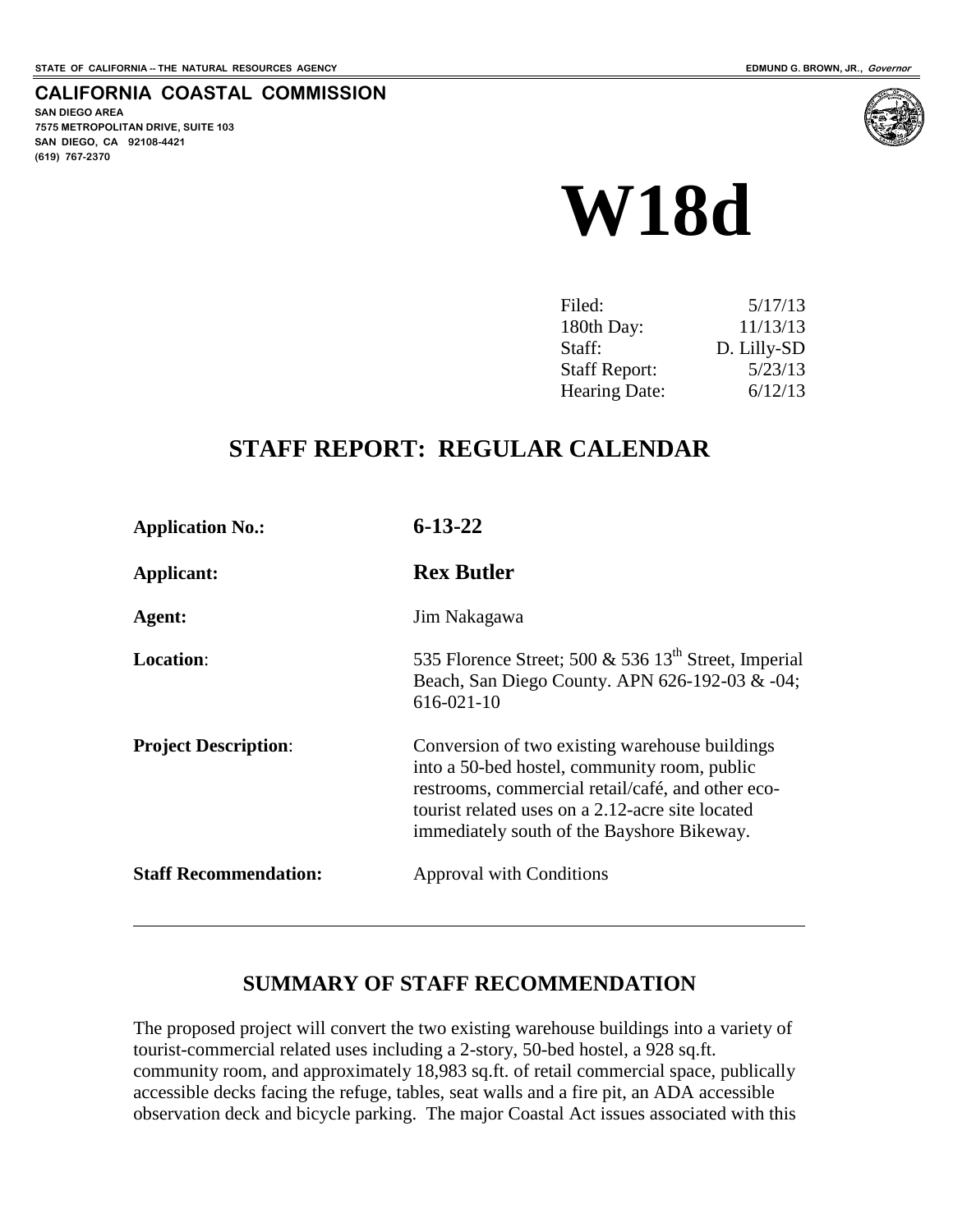**CALIFORNIA COASTAL COMMISSION**

## **SAN DIEGO AREA**

**7575 METROPOLITAN DRIVE, SUITE 103 SAN DIEGO, CA 92108-4421 (619) 767-2370**

 $\overline{a}$ 



| Filed:               | 5/17/13     |
|----------------------|-------------|
| 180th Day:           | 11/13/13    |
| Staff:               | D. Lilly-SD |
| <b>Staff Report:</b> | 5/23/13     |
| Hearing Date:        | 6/12/13     |

## **STAFF REPORT: REGULAR CALENDAR**

| <b>Application No.:</b>      | $6 - 13 - 22$                                                                                                                                                                                                                                         |
|------------------------------|-------------------------------------------------------------------------------------------------------------------------------------------------------------------------------------------------------------------------------------------------------|
| Applicant:                   | <b>Rex Butler</b>                                                                                                                                                                                                                                     |
| Agent:                       | Jim Nakagawa                                                                                                                                                                                                                                          |
| <b>Location:</b>             | 535 Florence Street; 500 & 536 $13th$ Street, Imperial<br>Beach, San Diego County. APN 626-192-03 & -04;<br>616-021-10                                                                                                                                |
| <b>Project Description:</b>  | Conversion of two existing warehouse buildings<br>into a 50-bed hostel, community room, public<br>restrooms, commercial retail/café, and other eco-<br>tourist related uses on a 2.12-acre site located<br>immediately south of the Bayshore Bikeway. |
| <b>Staff Recommendation:</b> | <b>Approval with Conditions</b>                                                                                                                                                                                                                       |

## **SUMMARY OF STAFF RECOMMENDATION**

The proposed project will convert the two existing warehouse buildings into a variety of tourist-commercial related uses including a 2-story, 50-bed hostel, a 928 sq.ft. community room, and approximately 18,983 sq.ft. of retail commercial space, publically accessible decks facing the refuge, tables, seat walls and a fire pit, an ADA accessible observation deck and bicycle parking. The major Coastal Act issues associated with this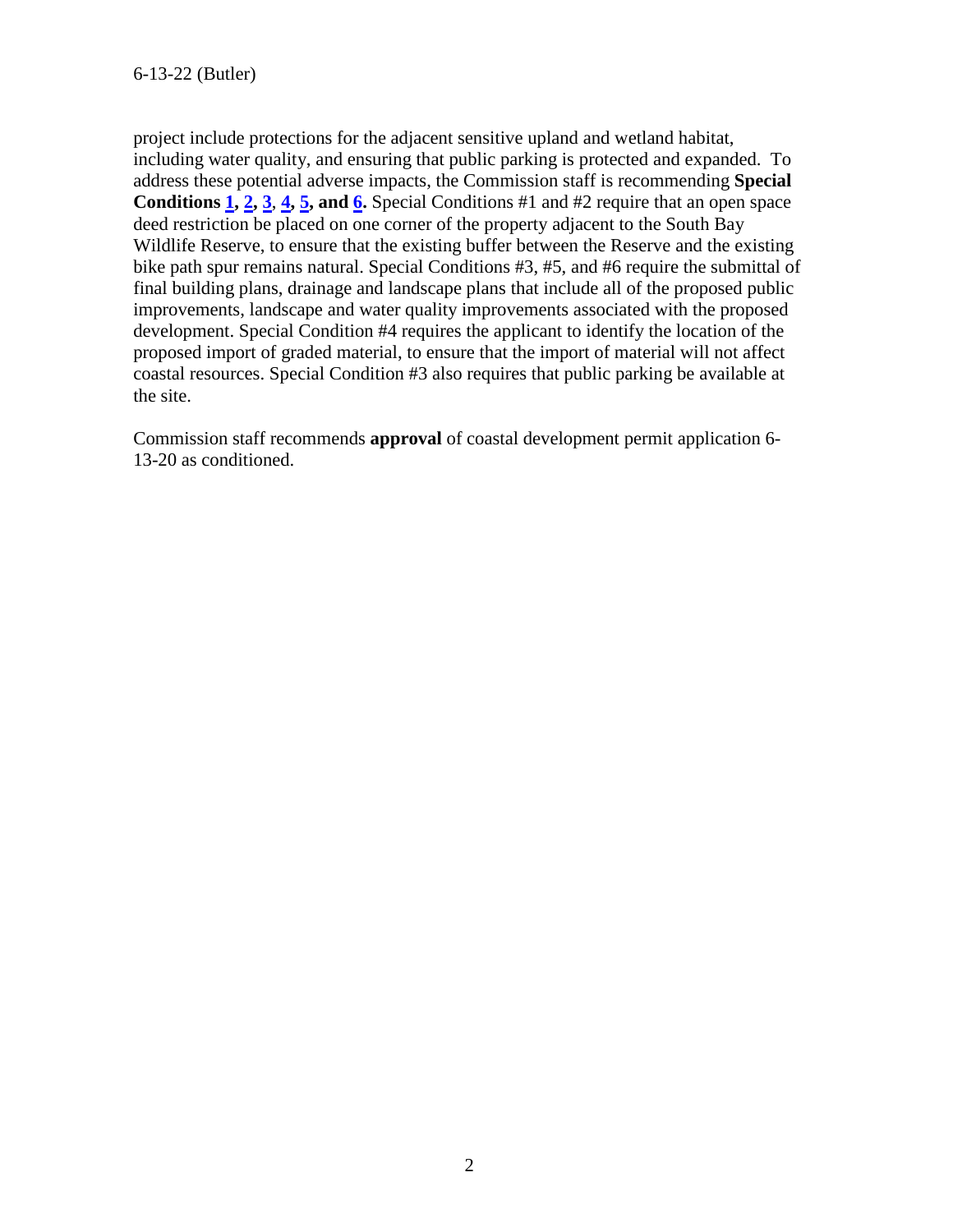project include protections for the adjacent sensitive upland and wetland habitat, including water quality, and ensuring that public parking is protected and expanded. To address these potential adverse impacts, the Commission staff is recommending **Special Conditions [1,](#page-5-0) [2,](#page-5-1) [3](#page-5-2)**, **[4,](#page-6-0) [5,](#page-6-1) and [6.](#page-6-2)** Special Conditions #1 and #2 require that an open space deed restriction be placed on one corner of the property adjacent to the South Bay Wildlife Reserve, to ensure that the existing buffer between the Reserve and the existing bike path spur remains natural. Special Conditions #3, #5, and #6 require the submittal of final building plans, drainage and landscape plans that include all of the proposed public improvements, landscape and water quality improvements associated with the proposed development. Special Condition #4 requires the applicant to identify the location of the proposed import of graded material, to ensure that the import of material will not affect coastal resources. Special Condition #3 also requires that public parking be available at the site.

Commission staff recommends **approval** of coastal development permit application 6- 13-20 as conditioned.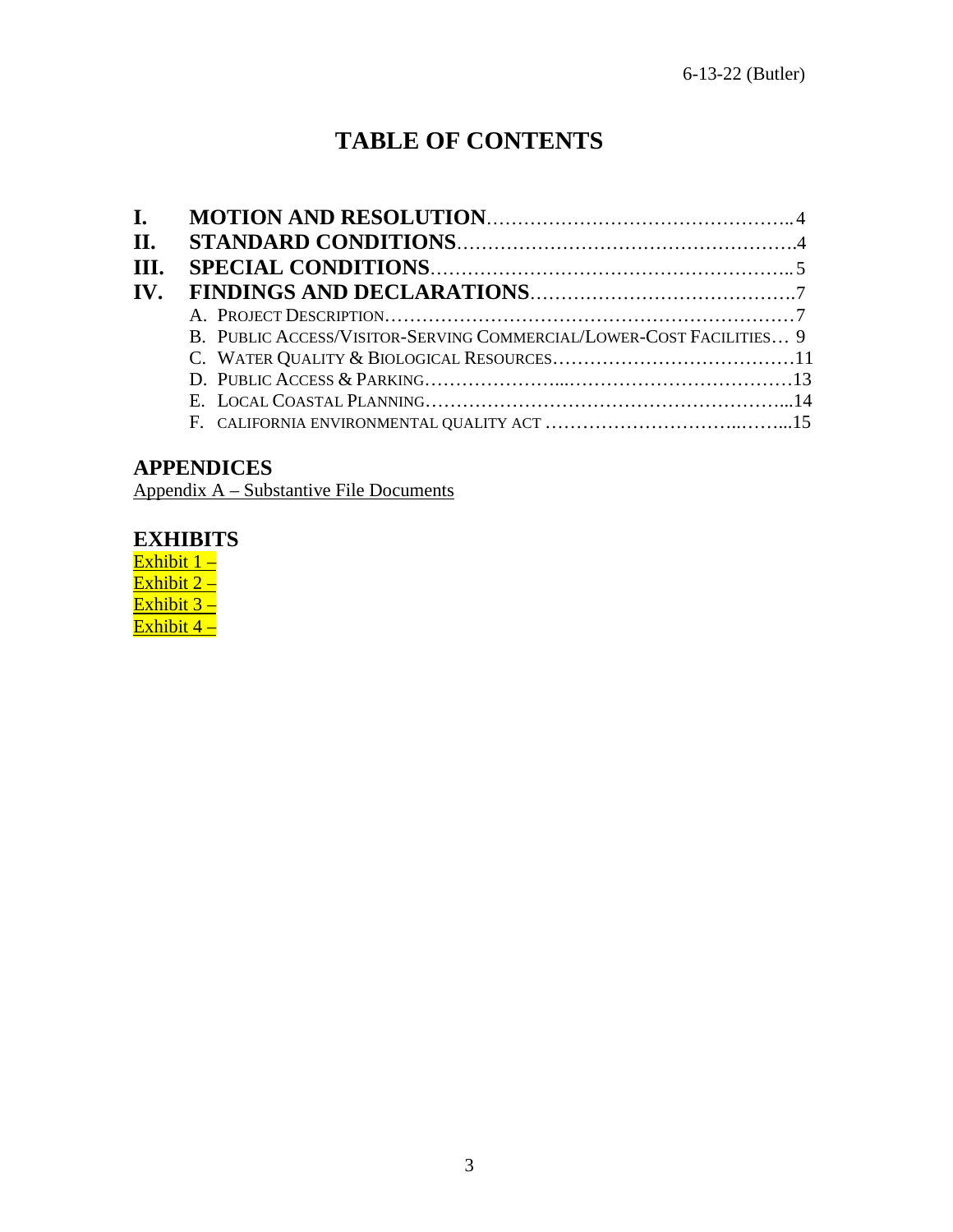# **TABLE OF CONTENTS**

| I. |                                                                     |
|----|---------------------------------------------------------------------|
|    |                                                                     |
|    |                                                                     |
|    |                                                                     |
|    |                                                                     |
|    |                                                                     |
|    |                                                                     |
|    |                                                                     |
|    |                                                                     |
|    |                                                                     |
|    | B. PUBLIC ACCESS/VISITOR-SERVING COMMERCIAL/LOWER-COST FACILITIES 9 |

## **APPENDICES**

Appendix A – Substantive File Documents

## **EXHIBITS**

Exhibit 1-Exhibit 2 – Exhibit 3 – Exhibit 4 –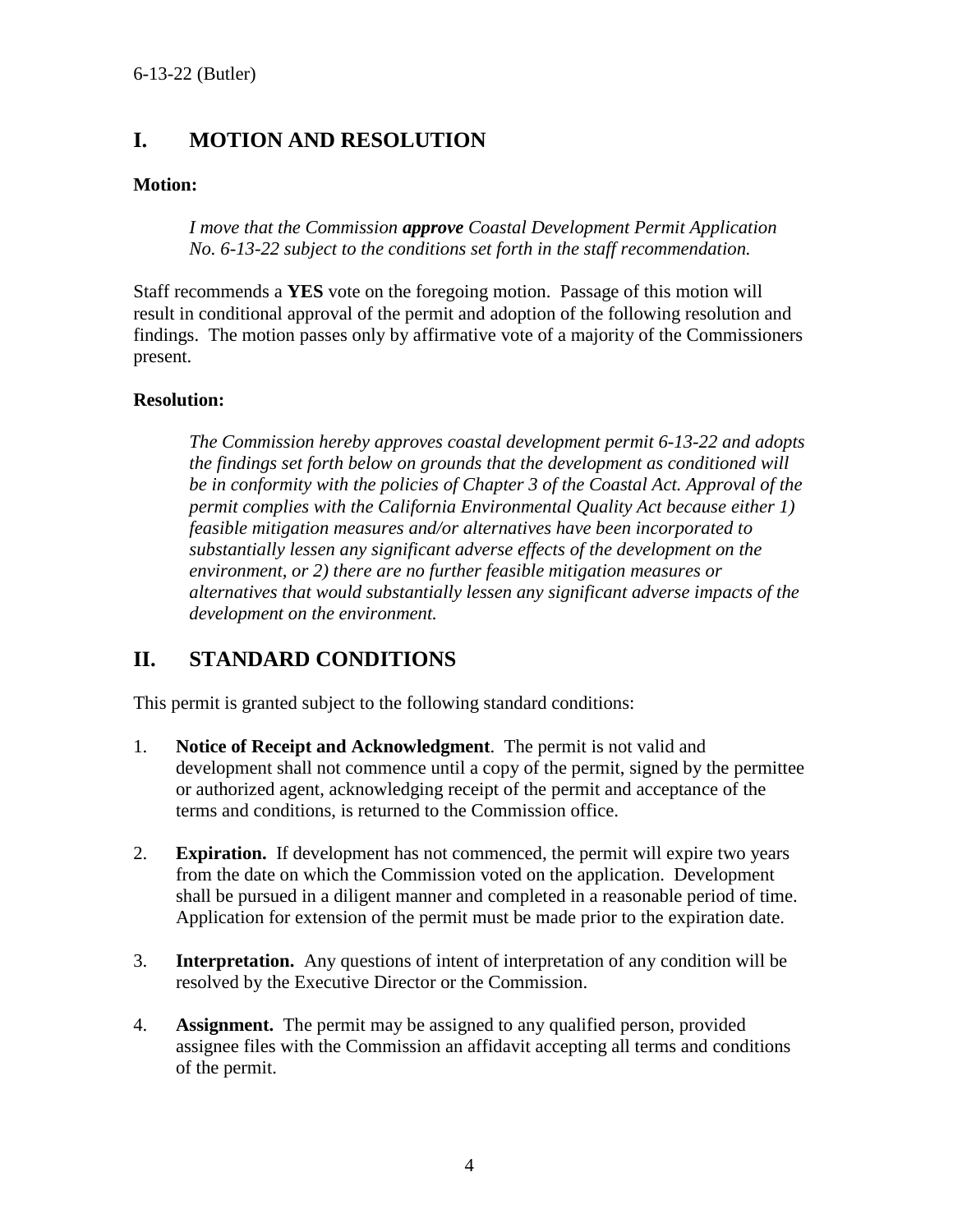## <span id="page-4-0"></span>**I. MOTION AND RESOLUTION**

#### **Motion:**

*I move that the Commission approve Coastal Development Permit Application No. 6-13-22 subject to the conditions set forth in the staff recommendation.* 

Staff recommends a **YES** vote on the foregoing motion. Passage of this motion will result in conditional approval of the permit and adoption of the following resolution and findings. The motion passes only by affirmative vote of a majority of the Commissioners present.

#### **Resolution:**

*The Commission hereby approves coastal development permit 6-13-22 and adopts the findings set forth below on grounds that the development as conditioned will be in conformity with the policies of Chapter 3 of the Coastal Act. Approval of the permit complies with the California Environmental Quality Act because either 1) feasible mitigation measures and/or alternatives have been incorporated to substantially lessen any significant adverse effects of the development on the environment, or 2) there are no further feasible mitigation measures or alternatives that would substantially lessen any significant adverse impacts of the development on the environment.* 

## <span id="page-4-1"></span>**II. STANDARD CONDITIONS**

This permit is granted subject to the following standard conditions:

- 1. **Notice of Receipt and Acknowledgment**. The permit is not valid and development shall not commence until a copy of the permit, signed by the permittee or authorized agent, acknowledging receipt of the permit and acceptance of the terms and conditions, is returned to the Commission office.
- 2. **Expiration.** If development has not commenced, the permit will expire two years from the date on which the Commission voted on the application. Development shall be pursued in a diligent manner and completed in a reasonable period of time. Application for extension of the permit must be made prior to the expiration date.
- 3. **Interpretation.** Any questions of intent of interpretation of any condition will be resolved by the Executive Director or the Commission.
- 4. **Assignment.** The permit may be assigned to any qualified person, provided assignee files with the Commission an affidavit accepting all terms and conditions of the permit.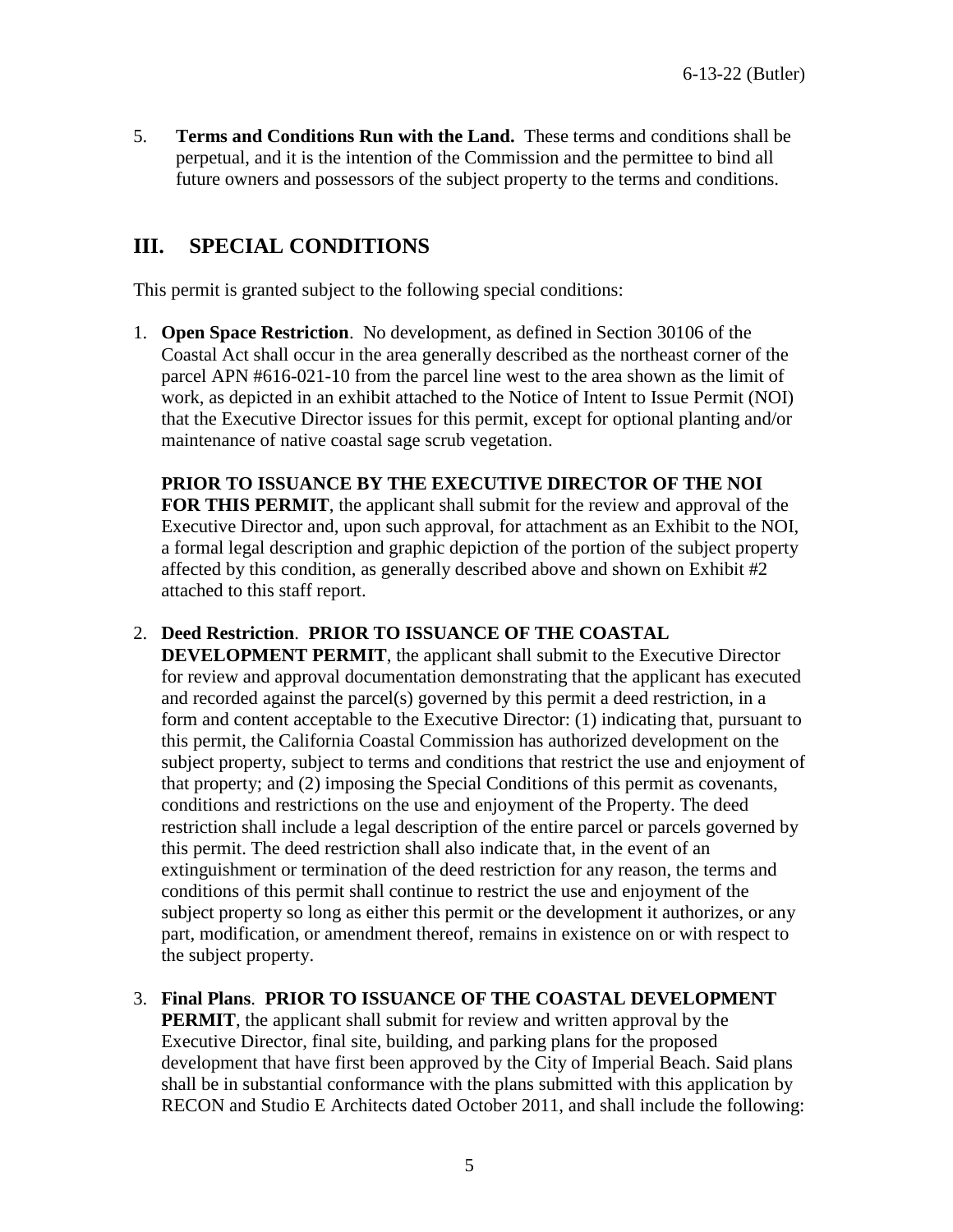5. **Terms and Conditions Run with the Land.** These terms and conditions shall be perpetual, and it is the intention of the Commission and the permittee to bind all future owners and possessors of the subject property to the terms and conditions.

## **III. SPECIAL CONDITIONS**

This permit is granted subject to the following special conditions:

<span id="page-5-0"></span>1. **Open Space Restriction**.No development, as defined in Section 30106 of the Coastal Act shall occur in the area generally described as the northeast corner of the parcel APN #616-021-10 from the parcel line west to the area shown as the limit of work, as depicted in an exhibit attached to the Notice of Intent to Issue Permit (NOI) that the Executive Director issues for this permit, except for optional planting and/or maintenance of native coastal sage scrub vegetation.

**PRIOR TO ISSUANCE BY THE EXECUTIVE DIRECTOR OF THE NOI FOR THIS PERMIT**, the applicant shall submit for the review and approval of the Executive Director and, upon such approval, for attachment as an Exhibit to the NOI, a formal legal description and graphic depiction of the portion of the subject property affected by this condition, as generally described above and shown on Exhibit #2 attached to this staff report.

### <span id="page-5-1"></span>2. **Deed Restriction**. **PRIOR TO ISSUANCE OF THE COASTAL**

**DEVELOPMENT PERMIT**, the applicant shall submit to the Executive Director for review and approval documentation demonstrating that the applicant has executed and recorded against the parcel(s) governed by this permit a deed restriction, in a form and content acceptable to the Executive Director: (1) indicating that, pursuant to this permit, the California Coastal Commission has authorized development on the subject property, subject to terms and conditions that restrict the use and enjoyment of that property; and (2) imposing the Special Conditions of this permit as covenants, conditions and restrictions on the use and enjoyment of the Property. The deed restriction shall include a legal description of the entire parcel or parcels governed by this permit. The deed restriction shall also indicate that, in the event of an extinguishment or termination of the deed restriction for any reason, the terms and conditions of this permit shall continue to restrict the use and enjoyment of the subject property so long as either this permit or the development it authorizes, or any part, modification, or amendment thereof, remains in existence on or with respect to the subject property.

#### <span id="page-5-2"></span>3. **Final Plans**. **PRIOR TO ISSUANCE OF THE COASTAL DEVELOPMENT**

**PERMIT**, the applicant shall submit for review and written approval by the Executive Director, final site, building, and parking plans for the proposed development that have first been approved by the City of Imperial Beach. Said plans shall be in substantial conformance with the plans submitted with this application by RECON and Studio E Architects dated October 2011, and shall include the following: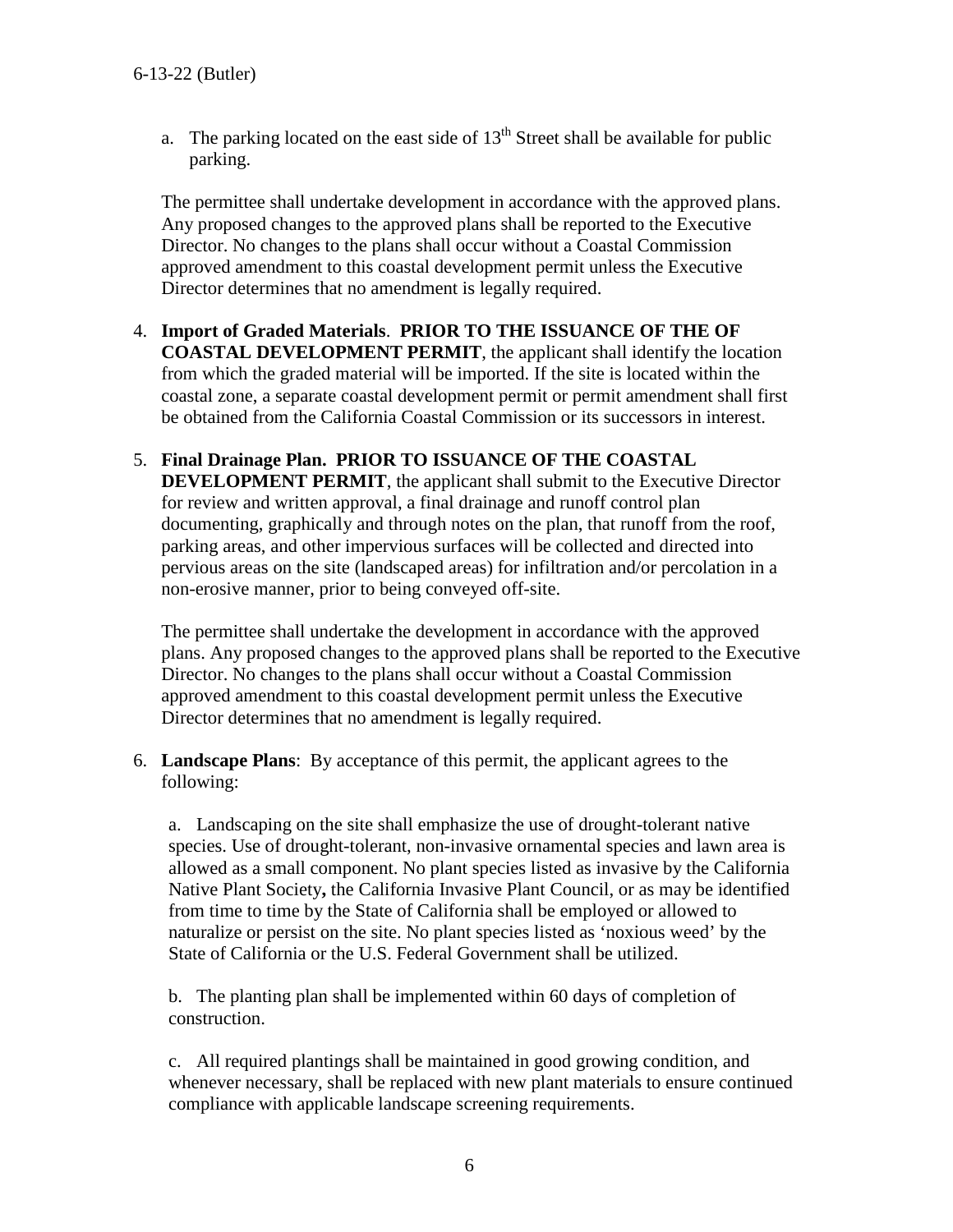a. The parking located on the east side of  $13<sup>th</sup>$  Street shall be available for public parking.

The permittee shall undertake development in accordance with the approved plans. Any proposed changes to the approved plans shall be reported to the Executive Director. No changes to the plans shall occur without a Coastal Commission approved amendment to this coastal development permit unless the Executive Director determines that no amendment is legally required.

### <span id="page-6-0"></span>4. **Import of Graded Materials**. **PRIOR TO THE ISSUANCE OF THE OF COASTAL DEVELOPMENT PERMIT**, the applicant shall identify the location from which the graded material will be imported. If the site is located within the coastal zone, a separate coastal development permit or permit amendment shall first be obtained from the California Coastal Commission or its successors in interest.

#### <span id="page-6-1"></span>5. **Final Drainage Plan. PRIOR TO ISSUANCE OF THE COASTAL DEVELOPMENT PERMIT**, the applicant shall submit to the Executive Director for review and written approval, a final drainage and runoff control plan documenting, graphically and through notes on the plan, that runoff from the roof, parking areas, and other impervious surfaces will be collected and directed into pervious areas on the site (landscaped areas) for infiltration and/or percolation in a non-erosive manner, prior to being conveyed off-site.

The permittee shall undertake the development in accordance with the approved plans. Any proposed changes to the approved plans shall be reported to the Executive Director. No changes to the plans shall occur without a Coastal Commission approved amendment to this coastal development permit unless the Executive Director determines that no amendment is legally required.

<span id="page-6-2"></span>6. **Landscape Plans**: By acceptance of this permit, the applicant agrees to the following:

a. Landscaping on the site shall emphasize the use of drought-tolerant native species. Use of drought-tolerant, non-invasive ornamental species and lawn area is allowed as a small component. No plant species listed as invasive by the California Native Plant Society**,** the California Invasive Plant Council, or as may be identified from time to time by the State of California shall be employed or allowed to naturalize or persist on the site. No plant species listed as 'noxious weed' by the State of California or the U.S. Federal Government shall be utilized.

b. The planting plan shall be implemented within 60 days of completion of construction.

c. All required plantings shall be maintained in good growing condition, and whenever necessary, shall be replaced with new plant materials to ensure continued compliance with applicable landscape screening requirements.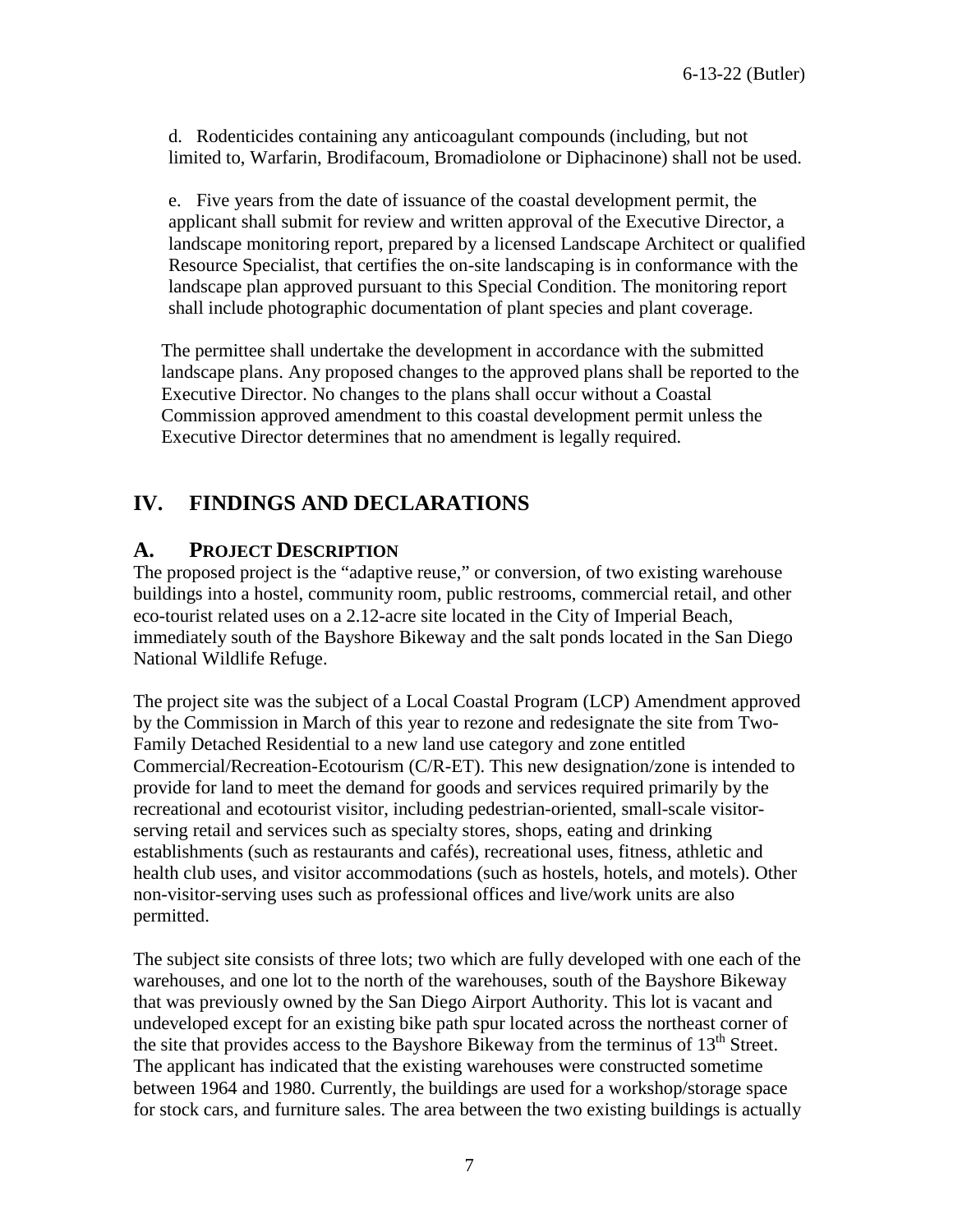d. Rodenticides containing any anticoagulant compounds (including, but not limited to, Warfarin, Brodifacoum, Bromadiolone or Diphacinone) shall not be used.

e. Five years from the date of issuance of the coastal development permit, the applicant shall submit for review and written approval of the Executive Director, a landscape monitoring report, prepared by a licensed Landscape Architect or qualified Resource Specialist, that certifies the on-site landscaping is in conformance with the landscape plan approved pursuant to this Special Condition. The monitoring report shall include photographic documentation of plant species and plant coverage.

The permittee shall undertake the development in accordance with the submitted landscape plans. Any proposed changes to the approved plans shall be reported to the Executive Director. No changes to the plans shall occur without a Coastal Commission approved amendment to this coastal development permit unless the Executive Director determines that no amendment is legally required.

## <span id="page-7-0"></span>**IV. FINDINGS AND DECLARATIONS**

## <span id="page-7-1"></span>**A. PROJECT DESCRIPTION**

The proposed project is the "adaptive reuse," or conversion, of two existing warehouse buildings into a hostel, community room, public restrooms, commercial retail, and other eco-tourist related uses on a 2.12-acre site located in the City of Imperial Beach, immediately south of the Bayshore Bikeway and the salt ponds located in the San Diego National Wildlife Refuge.

The project site was the subject of a Local Coastal Program (LCP) Amendment approved by the Commission in March of this year to rezone and redesignate the site from Two-Family Detached Residential to a new land use category and zone entitled Commercial/Recreation-Ecotourism (C/R-ET). This new designation/zone is intended to provide for land to meet the demand for goods and services required primarily by the recreational and ecotourist visitor, including pedestrian-oriented, small-scale visitorserving retail and services such as specialty stores, shops, eating and drinking establishments (such as restaurants and cafés), recreational uses, fitness, athletic and health club uses, and visitor accommodations (such as hostels, hotels, and motels). Other non-visitor-serving uses such as professional offices and live/work units are also permitted.

The subject site consists of three lots; two which are fully developed with one each of the warehouses, and one lot to the north of the warehouses, south of the Bayshore Bikeway that was previously owned by the San Diego Airport Authority. This lot is vacant and undeveloped except for an existing bike path spur located across the northeast corner of the site that provides access to the Bayshore Bikeway from the terminus of  $13<sup>th</sup>$  Street. The applicant has indicated that the existing warehouses were constructed sometime between 1964 and 1980. Currently, the buildings are used for a workshop/storage space for stock cars, and furniture sales. The area between the two existing buildings is actually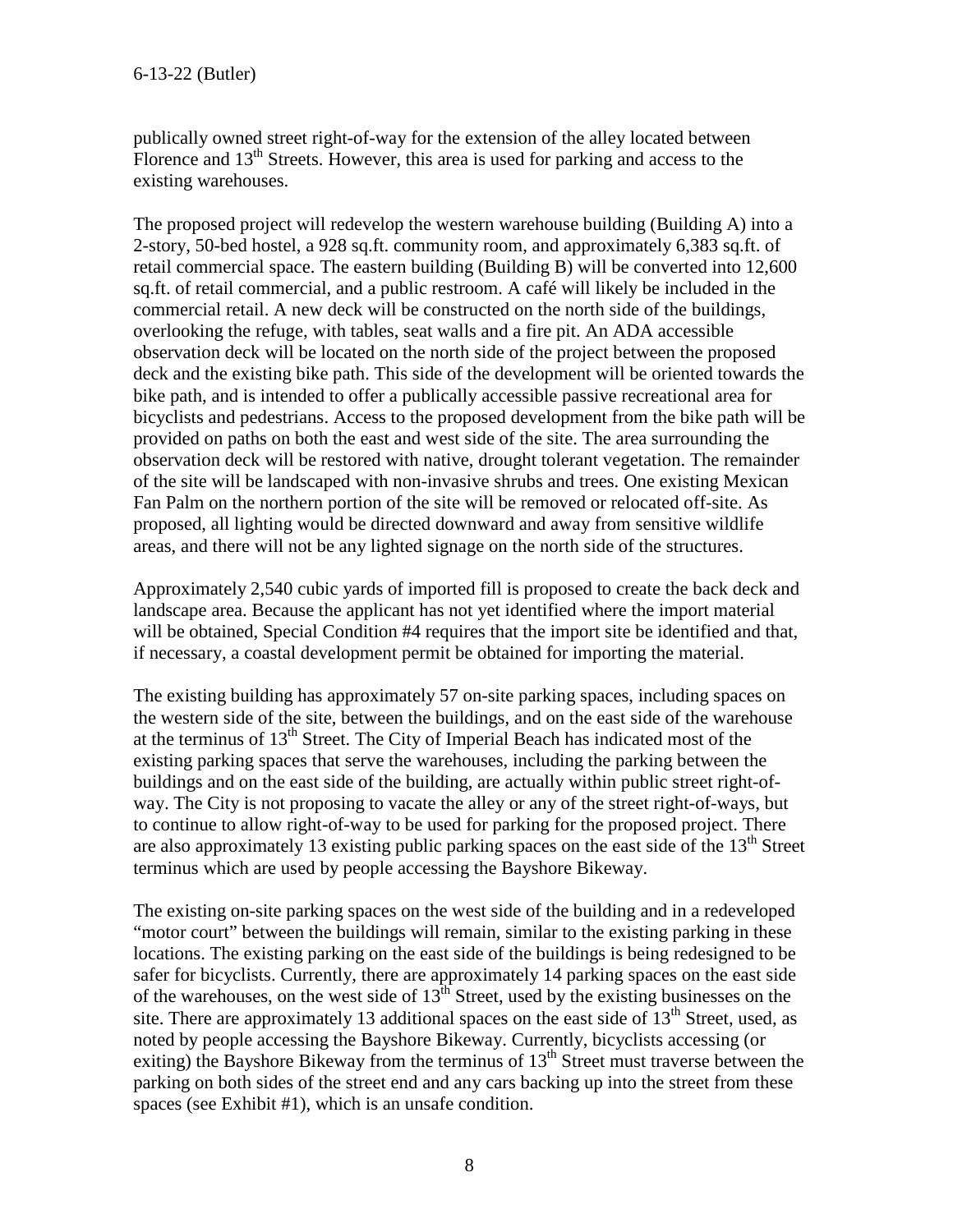publically owned street right-of-way for the extension of the alley located between Florence and 13<sup>th</sup> Streets. However, this area is used for parking and access to the existing warehouses.

The proposed project will redevelop the western warehouse building (Building A) into a 2-story, 50-bed hostel, a 928 sq.ft. community room, and approximately 6,383 sq.ft. of retail commercial space. The eastern building (Building B) will be converted into 12,600 sq.ft. of retail commercial, and a public restroom. A café will likely be included in the commercial retail. A new deck will be constructed on the north side of the buildings, overlooking the refuge, with tables, seat walls and a fire pit. An ADA accessible observation deck will be located on the north side of the project between the proposed deck and the existing bike path. This side of the development will be oriented towards the bike path, and is intended to offer a publically accessible passive recreational area for bicyclists and pedestrians. Access to the proposed development from the bike path will be provided on paths on both the east and west side of the site. The area surrounding the observation deck will be restored with native, drought tolerant vegetation. The remainder of the site will be landscaped with non-invasive shrubs and trees. One existing Mexican Fan Palm on the northern portion of the site will be removed or relocated off-site. As proposed, all lighting would be directed downward and away from sensitive wildlife areas, and there will not be any lighted signage on the north side of the structures.

Approximately 2,540 cubic yards of imported fill is proposed to create the back deck and landscape area. Because the applicant has not yet identified where the import material will be obtained, Special Condition #4 requires that the import site be identified and that, if necessary, a coastal development permit be obtained for importing the material.

The existing building has approximately 57 on-site parking spaces, including spaces on the western side of the site, between the buildings, and on the east side of the warehouse at the terminus of 13th Street. The City of Imperial Beach has indicated most of the existing parking spaces that serve the warehouses, including the parking between the buildings and on the east side of the building, are actually within public street right-ofway. The City is not proposing to vacate the alley or any of the street right-of-ways, but to continue to allow right-of-way to be used for parking for the proposed project. There are also approximately 13 existing public parking spaces on the east side of the 13<sup>th</sup> Street terminus which are used by people accessing the Bayshore Bikeway.

The existing on-site parking spaces on the west side of the building and in a redeveloped "motor court" between the buildings will remain, similar to the existing parking in these locations. The existing parking on the east side of the buildings is being redesigned to be safer for bicyclists. Currently, there are approximately 14 parking spaces on the east side of the warehouses, on the west side of  $13<sup>th</sup>$  Street, used by the existing businesses on the site. There are approximately 13 additional spaces on the east side of  $13<sup>th</sup>$  Street, used, as noted by people accessing the Bayshore Bikeway. Currently, bicyclists accessing (or exiting) the Bayshore Bikeway from the terminus of  $13<sup>th</sup>$  Street must traverse between the parking on both sides of the street end and any cars backing up into the street from these spaces (see Exhibit #1), which is an unsafe condition.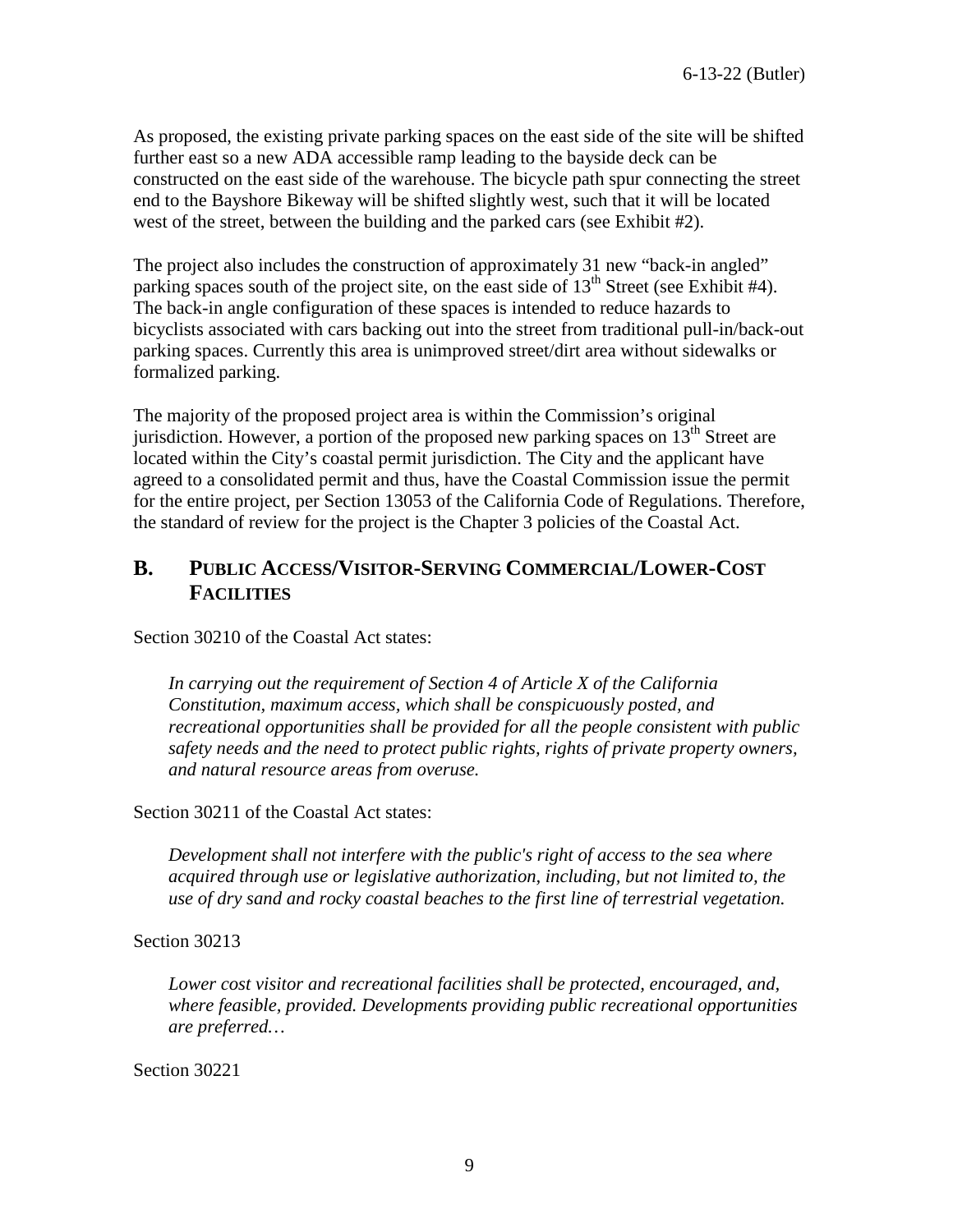As proposed, the existing private parking spaces on the east side of the site will be shifted further east so a new ADA accessible ramp leading to the bayside deck can be constructed on the east side of the warehouse. The bicycle path spur connecting the street end to the Bayshore Bikeway will be shifted slightly west, such that it will be located west of the street, between the building and the parked cars (see Exhibit #2).

The project also includes the construction of approximately 31 new "back-in angled" parking spaces south of the project site, on the east side of  $13<sup>th</sup>$  Street (see Exhibit #4). The back-in angle configuration of these spaces is intended to reduce hazards to bicyclists associated with cars backing out into the street from traditional pull-in/back-out parking spaces. Currently this area is unimproved street/dirt area without sidewalks or formalized parking.

The majority of the proposed project area is within the Commission's original jurisdiction. However, a portion of the proposed new parking spaces on  $13<sup>th</sup>$  Street are located within the City's coastal permit jurisdiction. The City and the applicant have agreed to a consolidated permit and thus, have the Coastal Commission issue the permit for the entire project, per Section 13053 of the California Code of Regulations. Therefore, the standard of review for the project is the Chapter 3 policies of the Coastal Act.

## <span id="page-9-0"></span>**B. PUBLIC ACCESS/VISITOR-SERVING COMMERCIAL/LOWER-COST FACILITIES**

Section 30210 of the Coastal Act states:

*In carrying out the requirement of Section 4 of Article X of the California Constitution, maximum access, which shall be conspicuously posted, and recreational opportunities shall be provided for all the people consistent with public safety needs and the need to protect public rights, rights of private property owners, and natural resource areas from overuse.* 

Section 30211 of the Coastal Act states:

*Development shall not interfere with the public's right of access to the sea where acquired through use or legislative authorization, including, but not limited to, the use of dry sand and rocky coastal beaches to the first line of terrestrial vegetation.* 

Section 30213

*Lower cost visitor and recreational facilities shall be protected, encouraged, and, where feasible, provided. Developments providing public recreational opportunities are preferred…*

Section 30221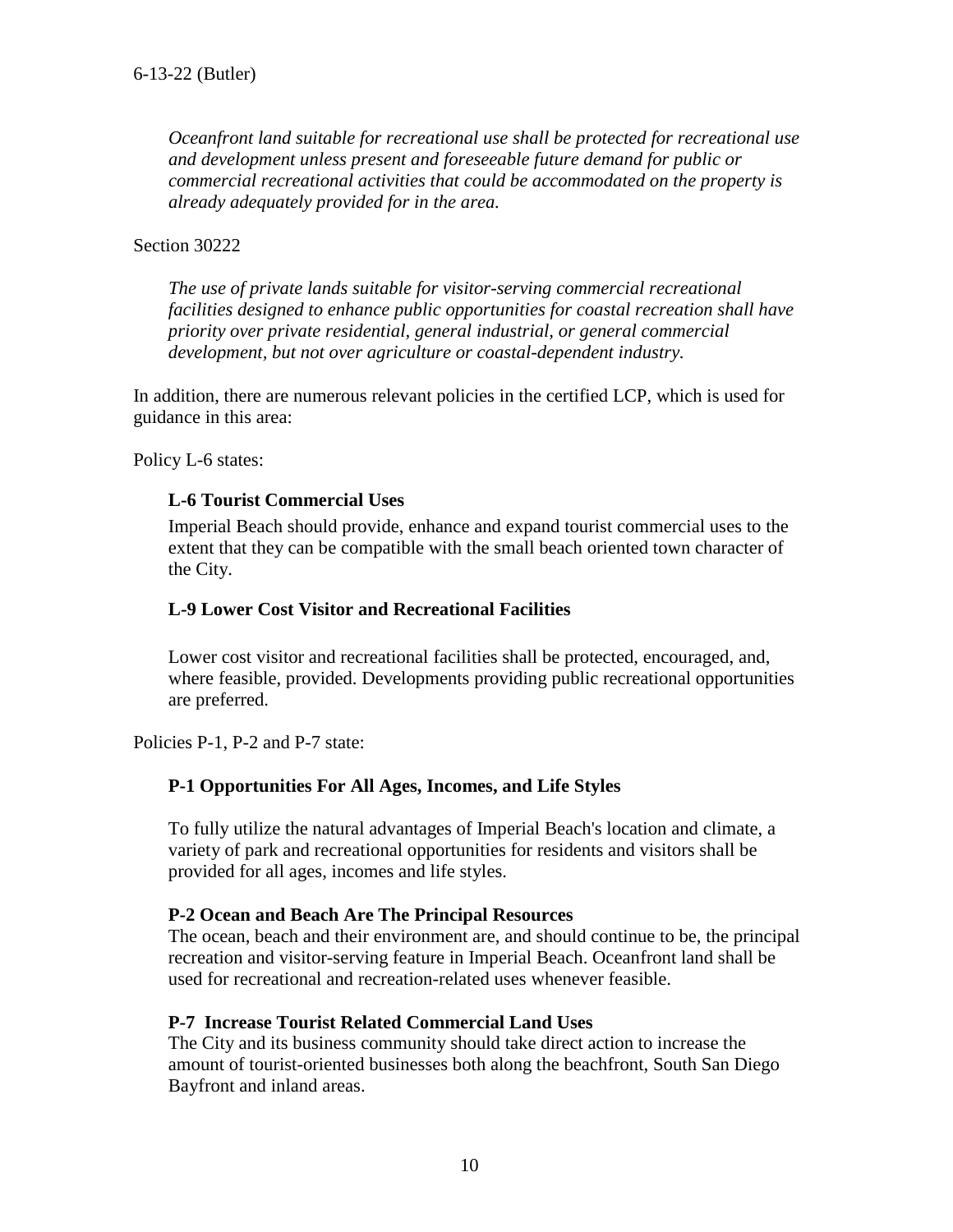*Oceanfront land suitable for recreational use shall be protected for recreational use and development unless present and foreseeable future demand for public or commercial recreational activities that could be accommodated on the property is already adequately provided for in the area.* 

#### Section 30222

*The use of private lands suitable for visitor-serving commercial recreational facilities designed to enhance public opportunities for coastal recreation shall have priority over private residential, general industrial, or general commercial development, but not over agriculture or coastal-dependent industry.* 

In addition, there are numerous relevant policies in the certified LCP, which is used for guidance in this area:

Policy L-6 states:

#### **L-6 Tourist Commercial Uses**

Imperial Beach should provide, enhance and expand tourist commercial uses to the extent that they can be compatible with the small beach oriented town character of the City.

#### **L-9 Lower Cost Visitor and Recreational Facilities**

Lower cost visitor and recreational facilities shall be protected, encouraged, and, where feasible, provided. Developments providing public recreational opportunities are preferred.

Policies P-1, P-2 and P-7 state:

#### **P-1 Opportunities For All Ages, Incomes, and Life Styles**

To fully utilize the natural advantages of Imperial Beach's location and climate, a variety of park and recreational opportunities for residents and visitors shall be provided for all ages, incomes and life styles.

#### **P-2 Ocean and Beach Are The Principal Resources**

The ocean, beach and their environment are, and should continue to be, the principal recreation and visitor-serving feature in Imperial Beach. Oceanfront land shall be used for recreational and recreation-related uses whenever feasible.

#### **P-7 Increase Tourist Related Commercial Land Uses**

The City and its business community should take direct action to increase the amount of tourist-oriented businesses both along the beachfront, South San Diego Bayfront and inland areas.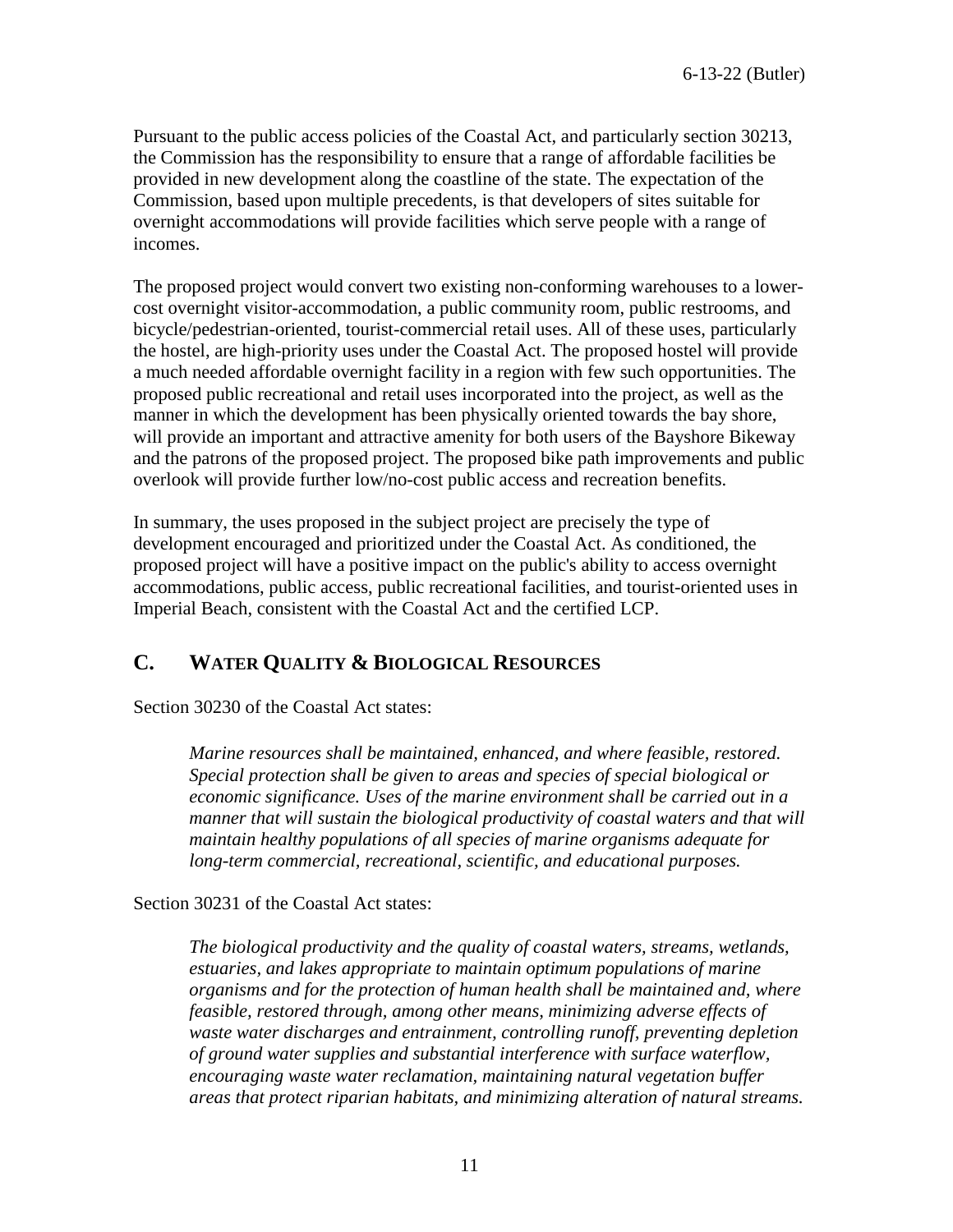Pursuant to the public access policies of the Coastal Act, and particularly section 30213, the Commission has the responsibility to ensure that a range of affordable facilities be provided in new development along the coastline of the state. The expectation of the Commission, based upon multiple precedents, is that developers of sites suitable for overnight accommodations will provide facilities which serve people with a range of incomes.

The proposed project would convert two existing non-conforming warehouses to a lowercost overnight visitor-accommodation, a public community room, public restrooms, and bicycle/pedestrian-oriented, tourist-commercial retail uses. All of these uses, particularly the hostel, are high-priority uses under the Coastal Act. The proposed hostel will provide a much needed affordable overnight facility in a region with few such opportunities. The proposed public recreational and retail uses incorporated into the project, as well as the manner in which the development has been physically oriented towards the bay shore, will provide an important and attractive amenity for both users of the Bayshore Bikeway and the patrons of the proposed project. The proposed bike path improvements and public overlook will provide further low/no-cost public access and recreation benefits.

In summary, the uses proposed in the subject project are precisely the type of development encouraged and prioritized under the Coastal Act. As conditioned, the proposed project will have a positive impact on the public's ability to access overnight accommodations, public access, public recreational facilities, and tourist-oriented uses in Imperial Beach, consistent with the Coastal Act and the certified LCP.

## <span id="page-11-0"></span>**C. WATER QUALITY & BIOLOGICAL RESOURCES**

Section 30230 of the Coastal Act states:

*Marine resources shall be maintained, enhanced, and where feasible, restored. Special protection shall be given to areas and species of special biological or economic significance. Uses of the marine environment shall be carried out in a manner that will sustain the biological productivity of coastal waters and that will maintain healthy populations of all species of marine organisms adequate for long-term commercial, recreational, scientific, and educational purposes.* 

Section 30231 of the Coastal Act states:

*The biological productivity and the quality of coastal waters, streams, wetlands, estuaries, and lakes appropriate to maintain optimum populations of marine organisms and for the protection of human health shall be maintained and, where feasible, restored through, among other means, minimizing adverse effects of waste water discharges and entrainment, controlling runoff, preventing depletion of ground water supplies and substantial interference with surface waterflow, encouraging waste water reclamation, maintaining natural vegetation buffer areas that protect riparian habitats, and minimizing alteration of natural streams.*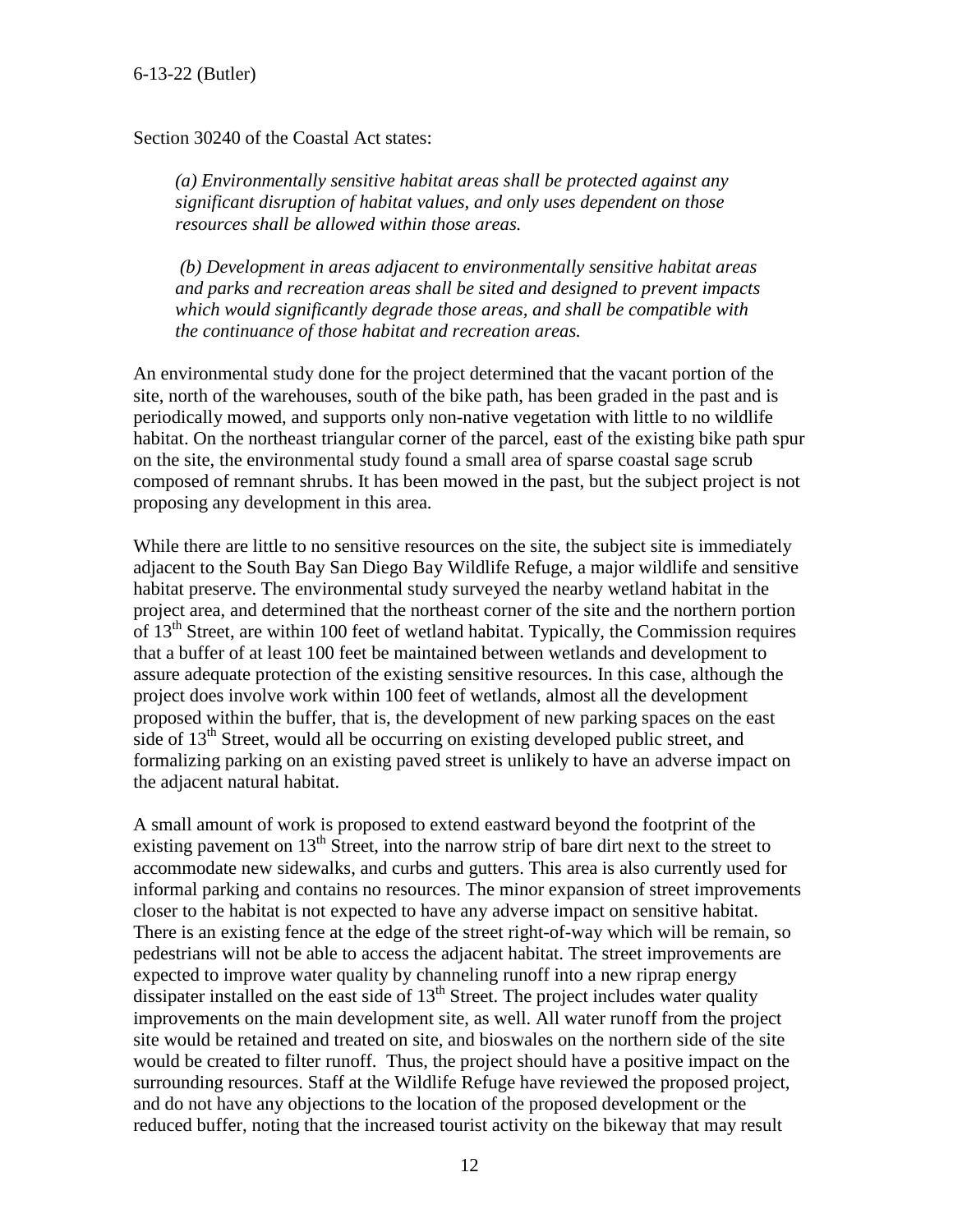Section 30240 of the Coastal Act states:

*(a) Environmentally sensitive habitat areas shall be protected against any significant disruption of habitat values, and only uses dependent on those resources shall be allowed within those areas.* 

 *(b) Development in areas adjacent to environmentally sensitive habitat areas and parks and recreation areas shall be sited and designed to prevent impacts which would significantly degrade those areas, and shall be compatible with the continuance of those habitat and recreation areas.* 

An environmental study done for the project determined that the vacant portion of the site, north of the warehouses, south of the bike path, has been graded in the past and is periodically mowed, and supports only non-native vegetation with little to no wildlife habitat. On the northeast triangular corner of the parcel, east of the existing bike path spur on the site, the environmental study found a small area of sparse coastal sage scrub composed of remnant shrubs. It has been mowed in the past, but the subject project is not proposing any development in this area.

While there are little to no sensitive resources on the site, the subject site is immediately adjacent to the South Bay San Diego Bay Wildlife Refuge, a major wildlife and sensitive habitat preserve. The environmental study surveyed the nearby wetland habitat in the project area, and determined that the northeast corner of the site and the northern portion of  $13<sup>th</sup>$  Street, are within 100 feet of wetland habitat. Typically, the Commission requires that a buffer of at least 100 feet be maintained between wetlands and development to assure adequate protection of the existing sensitive resources. In this case, although the project does involve work within 100 feet of wetlands, almost all the development proposed within the buffer, that is, the development of new parking spaces on the east side of  $13<sup>th</sup>$  Street, would all be occurring on existing developed public street, and formalizing parking on an existing paved street is unlikely to have an adverse impact on the adjacent natural habitat.

A small amount of work is proposed to extend eastward beyond the footprint of the existing pavement on  $13<sup>th</sup>$  Street, into the narrow strip of bare dirt next to the street to accommodate new sidewalks, and curbs and gutters. This area is also currently used for informal parking and contains no resources. The minor expansion of street improvements closer to the habitat is not expected to have any adverse impact on sensitive habitat. There is an existing fence at the edge of the street right-of-way which will be remain, so pedestrians will not be able to access the adjacent habitat. The street improvements are expected to improve water quality by channeling runoff into a new riprap energy dissipater installed on the east side of  $13<sup>th</sup>$  Street. The project includes water quality improvements on the main development site, as well. All water runoff from the project site would be retained and treated on site, and bioswales on the northern side of the site would be created to filter runoff. Thus, the project should have a positive impact on the surrounding resources. Staff at the Wildlife Refuge have reviewed the proposed project, and do not have any objections to the location of the proposed development or the reduced buffer, noting that the increased tourist activity on the bikeway that may result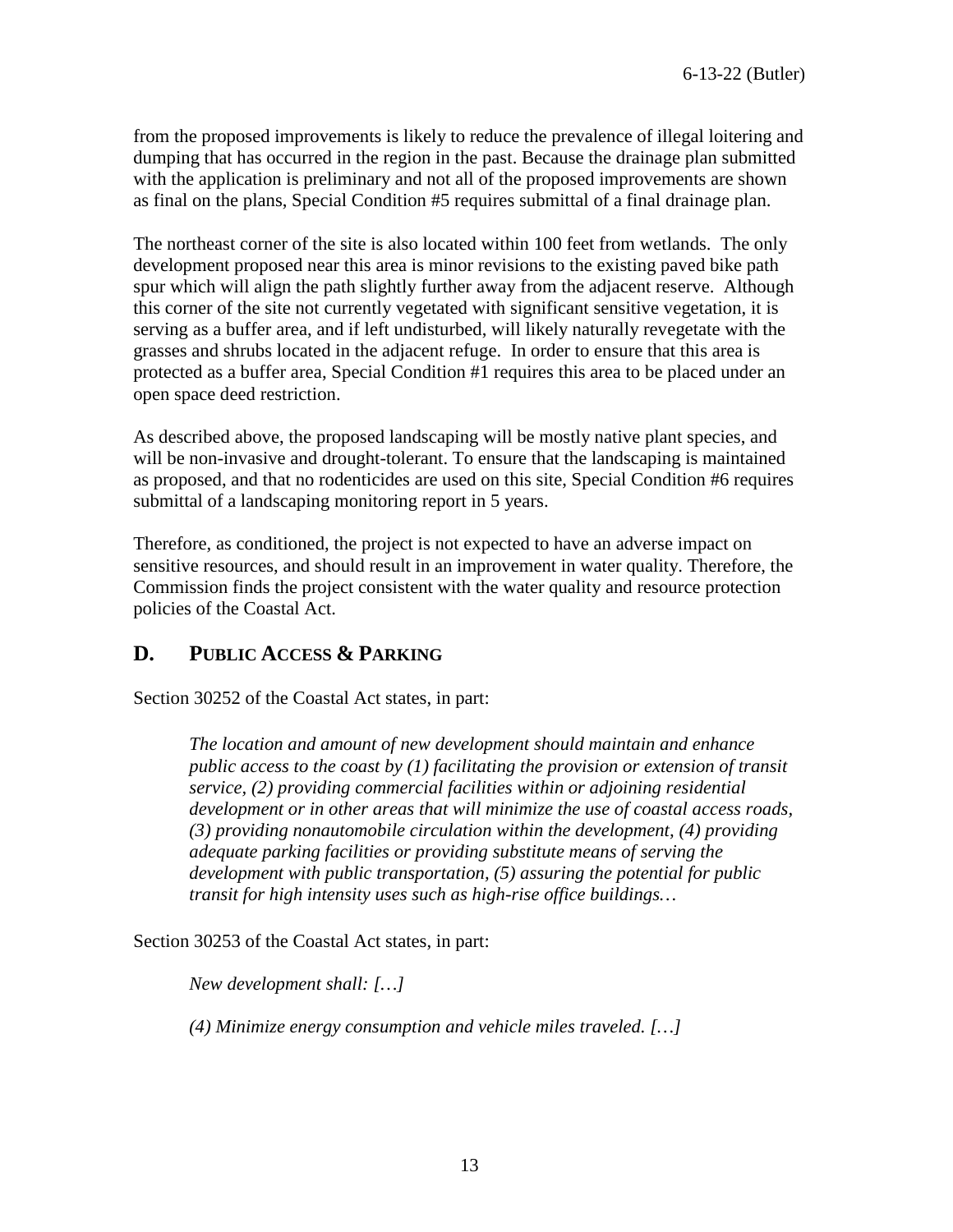from the proposed improvements is likely to reduce the prevalence of illegal loitering and dumping that has occurred in the region in the past. Because the drainage plan submitted with the application is preliminary and not all of the proposed improvements are shown as final on the plans, Special Condition #5 requires submittal of a final drainage plan.

The northeast corner of the site is also located within 100 feet from wetlands. The only development proposed near this area is minor revisions to the existing paved bike path spur which will align the path slightly further away from the adjacent reserve. Although this corner of the site not currently vegetated with significant sensitive vegetation, it is serving as a buffer area, and if left undisturbed, will likely naturally revegetate with the grasses and shrubs located in the adjacent refuge. In order to ensure that this area is protected as a buffer area, Special Condition #1 requires this area to be placed under an open space deed restriction.

As described above, the proposed landscaping will be mostly native plant species, and will be non-invasive and drought-tolerant. To ensure that the landscaping is maintained as proposed, and that no rodenticides are used on this site, Special Condition #6 requires submittal of a landscaping monitoring report in 5 years.

Therefore, as conditioned, the project is not expected to have an adverse impact on sensitive resources, and should result in an improvement in water quality. Therefore, the Commission finds the project consistent with the water quality and resource protection policies of the Coastal Act.

## <span id="page-13-0"></span>**D. PUBLIC ACCESS & PARKING**

Section 30252 of the Coastal Act states, in part:

*The location and amount of new development should maintain and enhance public access to the coast by (1) facilitating the provision or extension of transit service, (2) providing commercial facilities within or adjoining residential development or in other areas that will minimize the use of coastal access roads, (3) providing nonautomobile circulation within the development, (4) providing adequate parking facilities or providing substitute means of serving the development with public transportation, (5) assuring the potential for public transit for high intensity uses such as high-rise office buildings…* 

Section 30253 of the Coastal Act states, in part:

*New development shall: […]*

*(4) Minimize energy consumption and vehicle miles traveled. […]*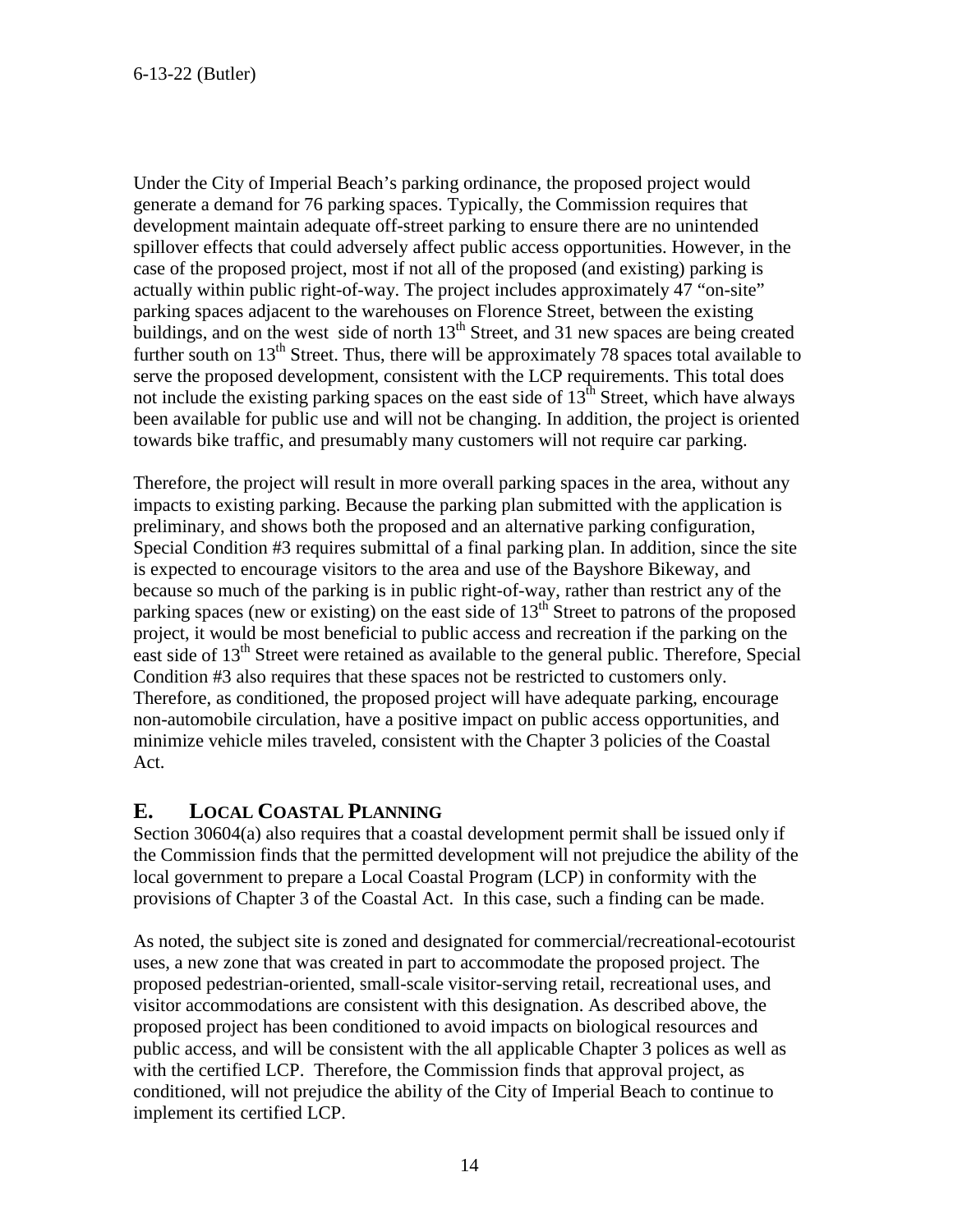Under the City of Imperial Beach's parking ordinance, the proposed project would generate a demand for 76 parking spaces. Typically, the Commission requires that development maintain adequate off-street parking to ensure there are no unintended spillover effects that could adversely affect public access opportunities. However, in the case of the proposed project, most if not all of the proposed (and existing) parking is actually within public right-of-way. The project includes approximately 47 "on-site" parking spaces adjacent to the warehouses on Florence Street, between the existing buildings, and on the west side of north 13<sup>th</sup> Street, and 31 new spaces are being created further south on 13<sup>th</sup> Street. Thus, there will be approximately 78 spaces total available to serve the proposed development, consistent with the LCP requirements. This total does not include the existing parking spaces on the east side of  $13<sup>th</sup>$  Street, which have always been available for public use and will not be changing. In addition, the project is oriented towards bike traffic, and presumably many customers will not require car parking.

Therefore, the project will result in more overall parking spaces in the area, without any impacts to existing parking. Because the parking plan submitted with the application is preliminary, and shows both the proposed and an alternative parking configuration, Special Condition #3 requires submittal of a final parking plan. In addition, since the site is expected to encourage visitors to the area and use of the Bayshore Bikeway, and because so much of the parking is in public right-of-way, rather than restrict any of the parking spaces (new or existing) on the east side of  $13<sup>th</sup>$  Street to patrons of the proposed project, it would be most beneficial to public access and recreation if the parking on the east side of 13<sup>th</sup> Street were retained as available to the general public. Therefore, Special Condition #3 also requires that these spaces not be restricted to customers only. Therefore, as conditioned, the proposed project will have adequate parking, encourage non-automobile circulation, have a positive impact on public access opportunities, and minimize vehicle miles traveled, consistent with the Chapter 3 policies of the Coastal Act.

## <span id="page-14-0"></span>**E. LOCAL COASTAL PLANNING**

Section 30604(a) also requires that a coastal development permit shall be issued only if the Commission finds that the permitted development will not prejudice the ability of the local government to prepare a Local Coastal Program (LCP) in conformity with the provisions of Chapter 3 of the Coastal Act. In this case, such a finding can be made.

As noted, the subject site is zoned and designated for commercial/recreational-ecotourist uses, a new zone that was created in part to accommodate the proposed project. The proposed pedestrian-oriented, small-scale visitor-serving retail, recreational uses, and visitor accommodations are consistent with this designation. As described above, the proposed project has been conditioned to avoid impacts on biological resources and public access, and will be consistent with the all applicable Chapter 3 polices as well as with the certified LCP. Therefore, the Commission finds that approval project, as conditioned, will not prejudice the ability of the City of Imperial Beach to continue to implement its certified LCP.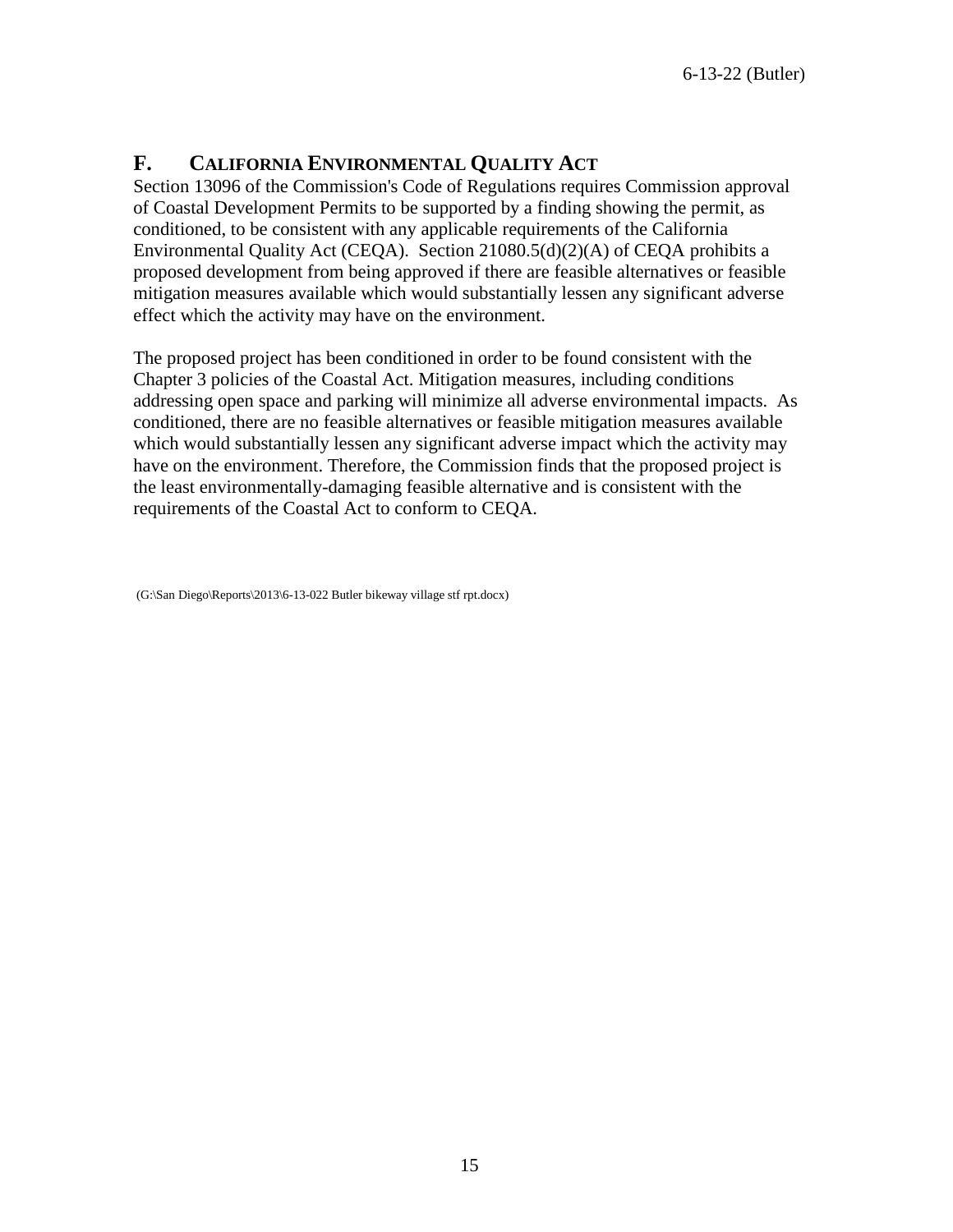## <span id="page-15-0"></span>**F. CALIFORNIA ENVIRONMENTAL QUALITY ACT**

Section 13096 of the Commission's Code of Regulations requires Commission approval of Coastal Development Permits to be supported by a finding showing the permit, as conditioned, to be consistent with any applicable requirements of the California Environmental Quality Act (CEQA). Section 21080.5(d)(2)(A) of CEQA prohibits a proposed development from being approved if there are feasible alternatives or feasible mitigation measures available which would substantially lessen any significant adverse effect which the activity may have on the environment.

The proposed project has been conditioned in order to be found consistent with the Chapter 3 policies of the Coastal Act. Mitigation measures, including conditions addressing open space and parking will minimize all adverse environmental impacts. As conditioned, there are no feasible alternatives or feasible mitigation measures available which would substantially lessen any significant adverse impact which the activity may have on the environment. Therefore, the Commission finds that the proposed project is the least environmentally-damaging feasible alternative and is consistent with the requirements of the Coastal Act to conform to CEQA.

 <sup>(</sup>G:\San Diego\Reports\2013\6-13-022 Butler bikeway village stf rpt.docx)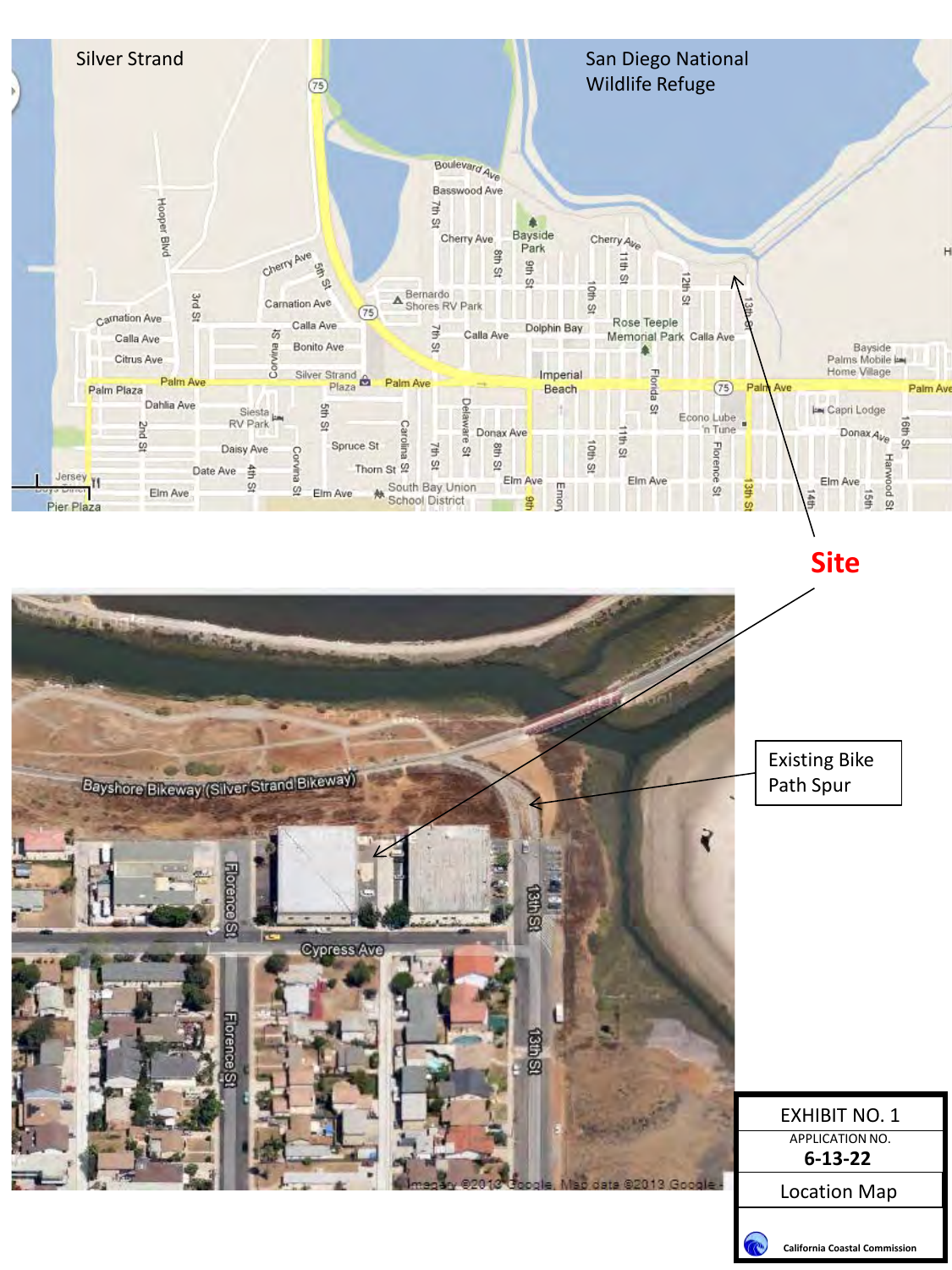

Existing Bike Bayshore Bikeway (Silver Strand Bikeway) Path Spur₹ Cypress Ave -lorence EXHIBIT NO. 1 APPLICATION NO. **6-13-22** Location Map



**California Coastal Commission**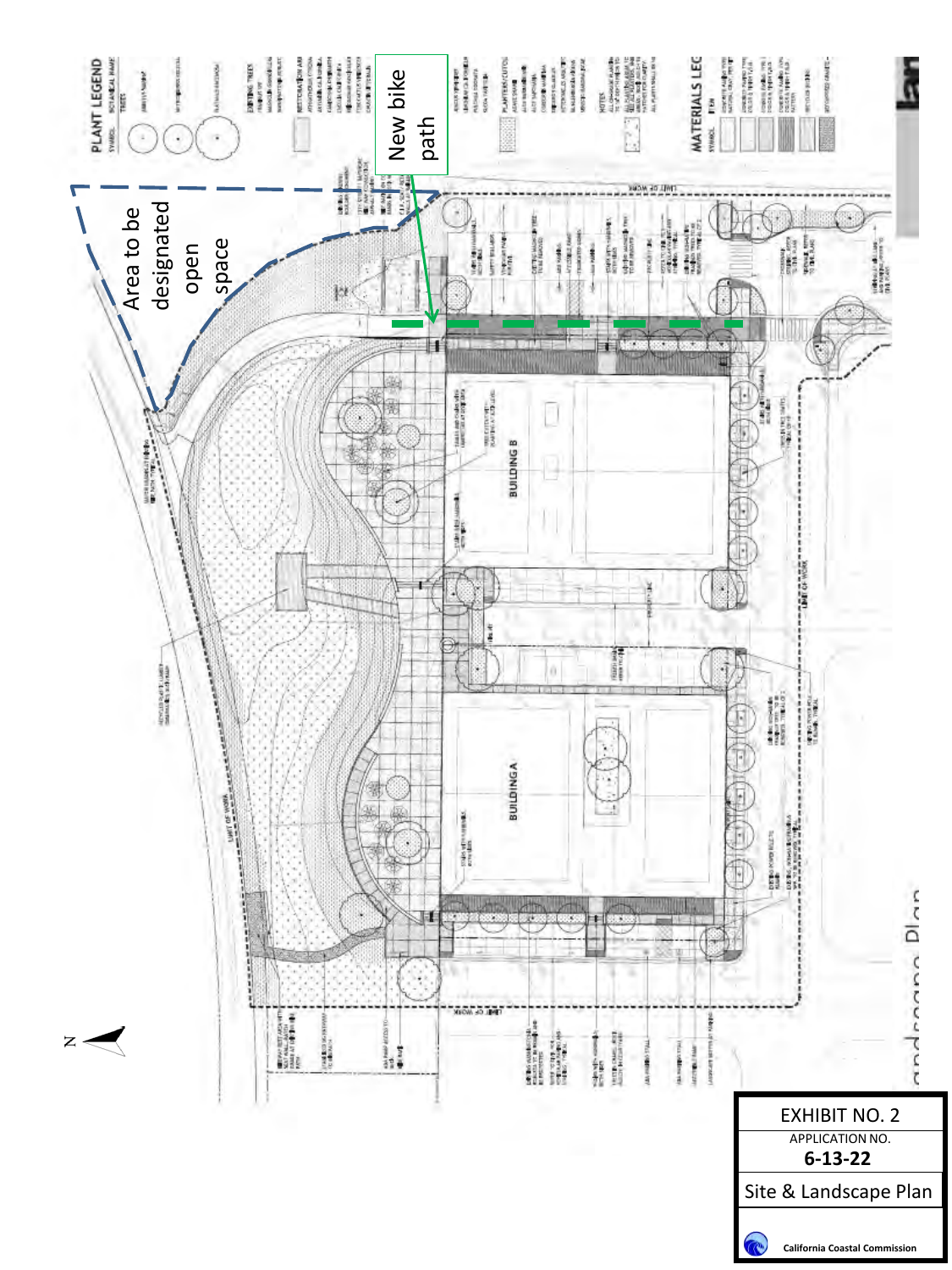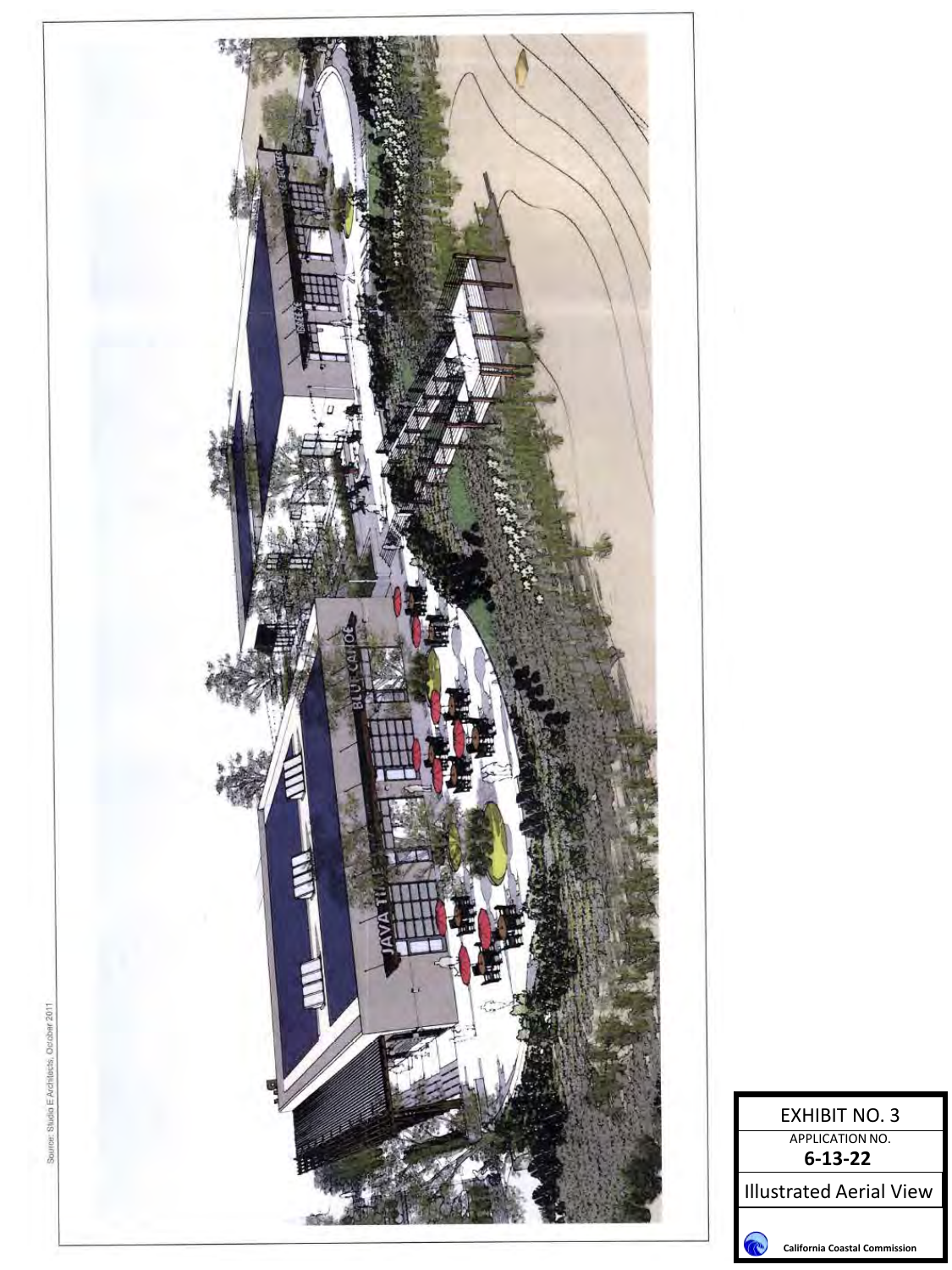